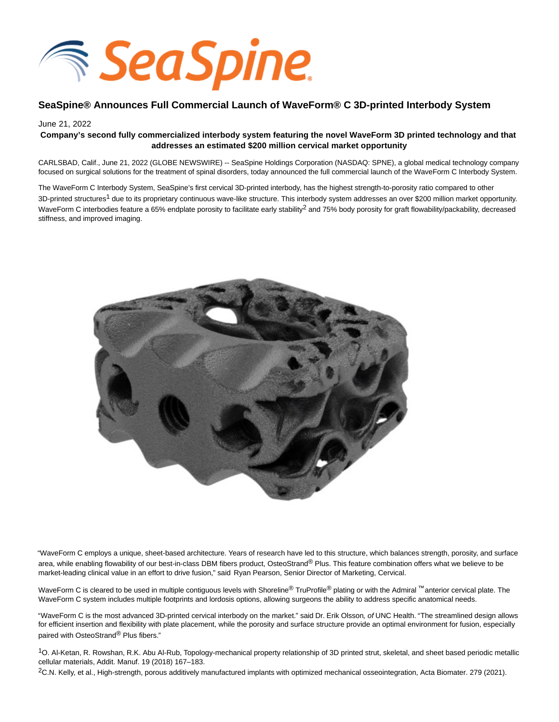

# **SeaSpine® Announces Full Commercial Launch of WaveForm® C 3D-printed Interbody System**

#### June 21, 2022

## **Company's second fully commercialized interbody system featuring the novel WaveForm 3D printed technology and that addresses an estimated \$200 million cervical market opportunity**

CARLSBAD, Calif., June 21, 2022 (GLOBE NEWSWIRE) -- SeaSpine Holdings Corporation (NASDAQ: SPNE), a global medical technology company focused on surgical solutions for the treatment of spinal disorders, today announced the full commercial launch of the WaveForm C Interbody System.

The WaveForm C Interbody System, SeaSpine's first cervical 3D-printed interbody, has the highest strength-to-porosity ratio compared to other 3D-printed structures<sup>1</sup> due to its proprietary continuous wave-like structure. This interbody system addresses an over \$200 million market opportunity. WaveForm C interbodies feature a 65% endplate porosity to facilitate early stability<sup>2</sup> and 75% body porosity for graft flowability/packability, decreased stiffness, and improved imaging.



"WaveForm C employs a unique, sheet-based architecture. Years of research have led to this structure, which balances strength, porosity, and surface area, while enabling flowability of our best-in-class DBM fibers product. OsteoStrand® Plus. This feature combination offers what we believe to be market-leading clinical value in an effort to drive fusion," said Ryan Pearson, Senior Director of Marketing, Cervical.

WaveForm C is cleared to be used in multiple contiguous levels with Shoreline<sup>®</sup> TruProfile<sup>®</sup> plating or with the Admiral ™ anterior cervical plate. The WaveForm C system includes multiple footprints and lordosis options, allowing surgeons the ability to address specific anatomical needs.

"WaveForm C is the most advanced 3D-printed cervical interbody on the market." said Dr. Erik Olsson, of UNC Health. "The streamlined design allows for efficient insertion and flexibility with plate placement, while the porosity and surface structure provide an optimal environment for fusion, especially paired with OsteoStrand® Plus fibers."

1O. Al-Ketan, R. Rowshan, R.K. Abu Al-Rub, Topology-mechanical property relationship of 3D printed strut, skeletal, and sheet based periodic metallic cellular materials, Addit. Manuf. 19 (2018) 167–183.

<sup>2</sup>C.N. Kelly, et al., High-strength, porous additively manufactured implants with optimized mechanical osseointegration, Acta Biomater. 279 (2021).